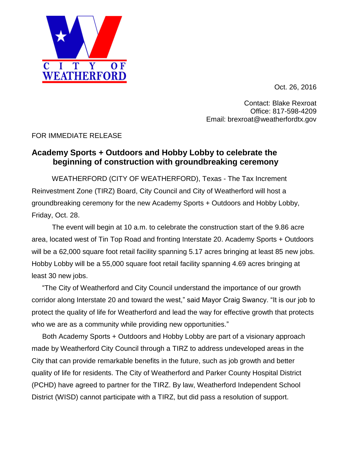

Oct. 26, 2016

Contact: Blake Rexroat Office: 817-598-4209 Email: brexroat@weatherfordtx.gov

## FOR IMMEDIATE RELEASE

## **Academy Sports + Outdoors and Hobby Lobby to celebrate the beginning of construction with groundbreaking ceremony**

 WEATHERFORD (CITY OF WEATHERFORD), Texas - The Tax Increment Reinvestment Zone (TIRZ) Board, City Council and City of Weatherford will host a groundbreaking ceremony for the new Academy Sports + Outdoors and Hobby Lobby, Friday, Oct. 28.

 The event will begin at 10 a.m. to celebrate the construction start of the 9.86 acre area, located west of Tin Top Road and fronting Interstate 20. Academy Sports + Outdoors will be a 62,000 square foot retail facility spanning 5.17 acres bringing at least 85 new jobs. Hobby Lobby will be a 55,000 square foot retail facility spanning 4.69 acres bringing at least 30 new jobs.

"The City of Weatherford and City Council understand the importance of our growth corridor along Interstate 20 and toward the west," said Mayor Craig Swancy. "It is our job to protect the quality of life for Weatherford and lead the way for effective growth that protects who we are as a community while providing new opportunities."

Both Academy Sports + Outdoors and Hobby Lobby are part of a visionary approach made by Weatherford City Council through a TIRZ to address undeveloped areas in the City that can provide remarkable benefits in the future, such as job growth and better quality of life for residents. The City of Weatherford and Parker County Hospital District (PCHD) have agreed to partner for the TIRZ. By law, Weatherford Independent School District (WISD) cannot participate with a TIRZ, but did pass a resolution of support.